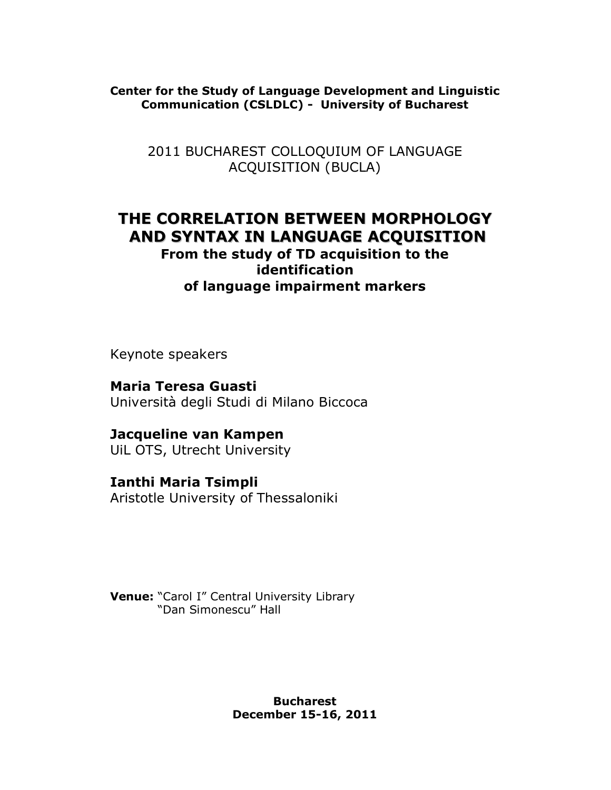**Center for the Study of Language Development and Linguistic Communication (CSLDLC) - University of Bucharest**

2011 BUCHAREST COLLOQUIUM OF LANGUAGE ACQUISITION (BUCLA)

## **THE CORRELATION BETWEEN MORPHOLOGY AND SYNTAX IN LANGUAGE ACQUISITION**

## **From the study of TD acquisition to the identification of language impairment markers**

Keynote speakers

**Maria Teresa Guasti** Università degli Studi di Milano Biccoca

**Jacqueline van Kampen**

UiL OTS, Utrecht University

**Ianthi Maria Tsimpli** Aristotle University of Thessaloniki

**Venue:** "Carol I" Central University Library "Dan Simonescu" Hall

> **Bucharest December 15-16, 2011**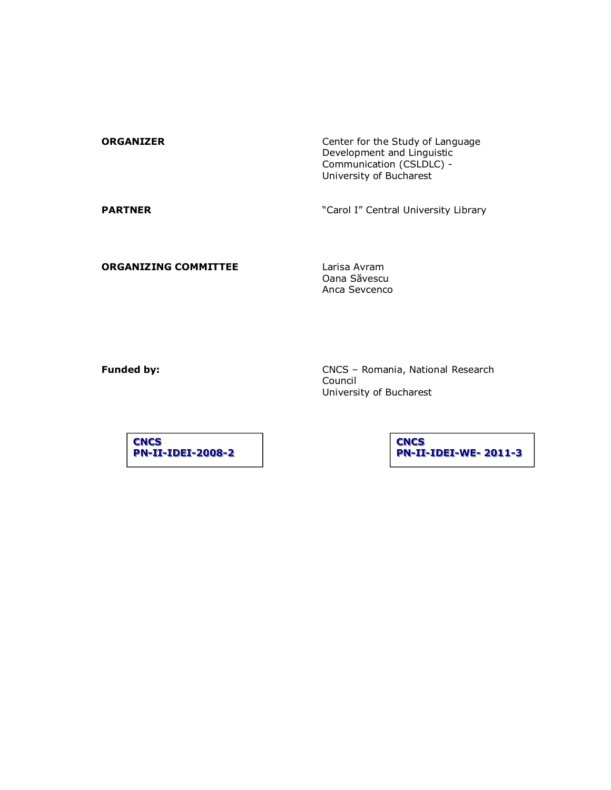| <b>ORGANIZER</b> | Center for the Study of Language<br>Development and Linguistic<br>Communication (CSLDLC) -<br>University of Bucharest |
|------------------|-----------------------------------------------------------------------------------------------------------------------|
| <b>PARTNER</b>   | "Carol I" Central University Library                                                                                  |

**ORGANIZING COMMITTEE** Larisa Avram

Oana Săvescu Anca Sevcenco

**Funded by:** CNCS – Romania, National Research Council University of Bucharest

**CNCS PN-II-IDEI-2008-2**  **CNCS PN-II-IDEI-WE-2011-3**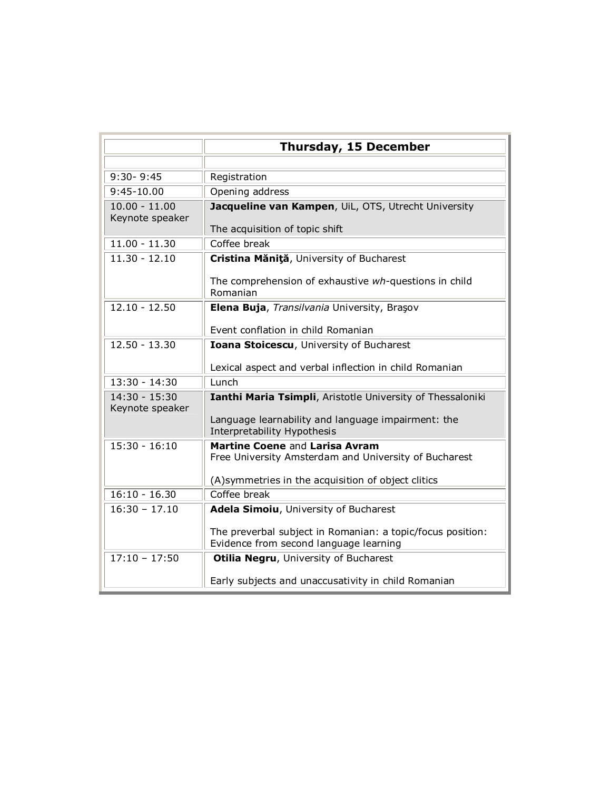|                                    | Thursday, 15 December                                                                                |
|------------------------------------|------------------------------------------------------------------------------------------------------|
|                                    |                                                                                                      |
| $9:30 - 9:45$                      | Registration                                                                                         |
| $9:45-10.00$                       | Opening address                                                                                      |
| $10.00 - 11.00$<br>Keynote speaker | Jacqueline van Kampen, UiL, OTS, Utrecht University                                                  |
|                                    | The acquisition of topic shift                                                                       |
| $11.00 - 11.30$                    | Coffee break                                                                                         |
| $11.30 - 12.10$                    | Cristina Măniță, University of Bucharest                                                             |
|                                    | The comprehension of exhaustive wh-questions in child<br>Romanian                                    |
| $12.10 - 12.50$                    | Elena Buja, Transilvania University, Brașov                                                          |
|                                    | Event conflation in child Romanian                                                                   |
| $12.50 - 13.30$                    | Ioana Stoicescu, University of Bucharest                                                             |
|                                    | Lexical aspect and verbal inflection in child Romanian                                               |
| 13:30 - 14:30                      | Lunch                                                                                                |
| 14:30 - 15:30<br>Keynote speaker   | Ianthi Maria Tsimpli, Aristotle University of Thessaloniki                                           |
|                                    | Language learnability and language impairment: the<br>Interpretability Hypothesis                    |
| $15:30 - 16:10$                    | Martine Coene and Larisa Avram<br>Free University Amsterdam and University of Bucharest              |
|                                    | (A) symmetries in the acquisition of object clitics                                                  |
| $16:10 - 16.30$                    | Coffee break                                                                                         |
| $16:30 - 17.10$                    | Adela Simoiu, University of Bucharest                                                                |
|                                    | The preverbal subject in Romanian: a topic/focus position:<br>Evidence from second language learning |
| $17:10 - 17:50$                    | Otilia Negru, University of Bucharest                                                                |
|                                    | Early subjects and unaccusativity in child Romanian                                                  |